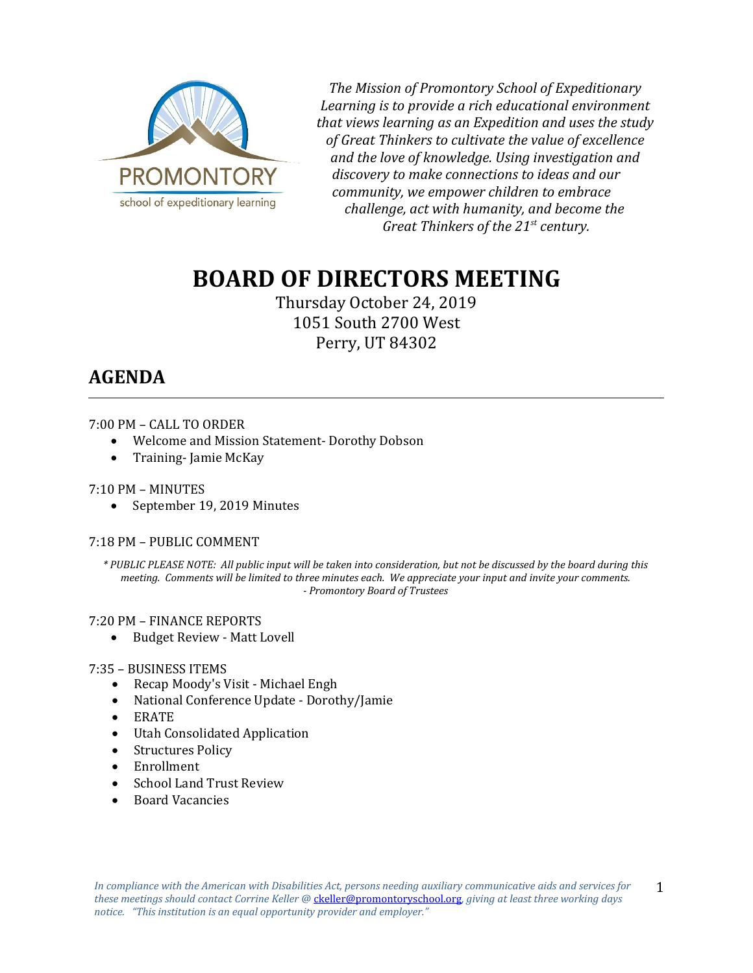

*The Mission of Promontory School of Expeditionary Learning is to provide a rich educational environment that views learning as an Expedition and uses the study of Great Thinkers to cultivate the value of excellence and the love of knowledge. Using investigation and discovery to make connections to ideas and our community, we empower children to embrace challenge, act with humanity, and become the Great Thinkers of the 21st century.*

# **BOARD OF DIRECTORS MEETING**

Thursday October 24, 2019 1051 South 2700 West Perry, UT 84302

# **AGENDA**

## 7:00 PM – CALL TO ORDER

- Welcome and Mission Statement- Dorothy Dobson<br>• Training- Jamie McKay
- Training- Jamie McKay

# 7:10 PM – MINUTES

• September 19, 2019 Minutes

### 7:18 PM – PUBLIC COMMENT

*\* PUBLIC PLEASE NOTE: All public input will be taken into consideration, but not be discussed by the board during this meeting. Comments will be limited to three minutes each. We appreciate your input and invite your comments. - Promontory Board of Trustees*

### 7:20 PM – FINANCE REPORTS

• Budget Review - Matt Lovell

### 7:35 – BUSINESS ITEMS

- Recap Moody's Visit Michael Engh
- National Conference Update Dorothy/Jamie
- ERATE
- Utah Consolidated Application
- Structures Policy
- Enrollment
- School Land Trust Review
- Board Vacancies